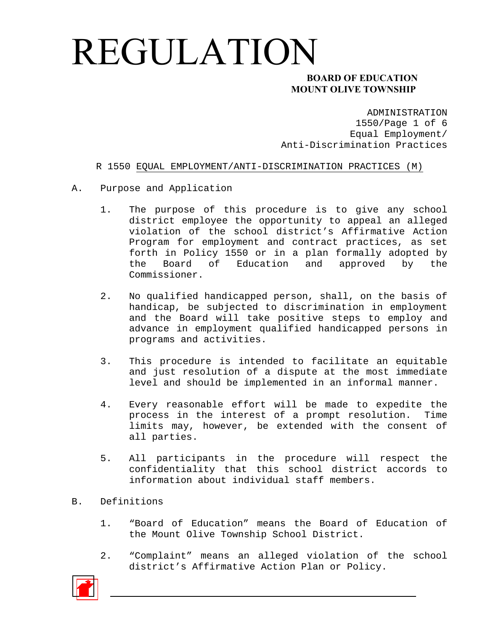### **MOUNT OLIVE TOWNSHIP**

ADMINISTRATION 1550/Page 1 of 6 Equal Employment/ Anti-Discrimination Practices

#### R 1550 EQUAL EMPLOYMENT/ANTI-DISCRIMINATION PRACTICES (M)

- A. Purpose and Application
	- 1. The purpose of this procedure is to give any school district employee the opportunity to appeal an alleged violation of the school district's Affirmative Action Program for employment and contract practices, as set forth in Policy 1550 or in a plan formally adopted by the Board of Education and approved by the Commissioner.
	- 2. No qualified handicapped person, shall, on the basis of handicap, be subjected to discrimination in employment and the Board will take positive steps to employ and advance in employment qualified handicapped persons in programs and activities.
	- 3. This procedure is intended to facilitate an equitable and just resolution of a dispute at the most immediate level and should be implemented in an informal manner.
	- 4. Every reasonable effort will be made to expedite the process in the interest of a prompt resolution. Time limits may, however, be extended with the consent of all parties.
	- 5. All participants in the procedure will respect the confidentiality that this school district accords to information about individual staff members.

#### B. Definitions

- 1. "Board of Education" means the Board of Education of the Mount Olive Township School District.
- 2. "Complaint" means an alleged violation of the school district's Affirmative Action Plan or Policy.

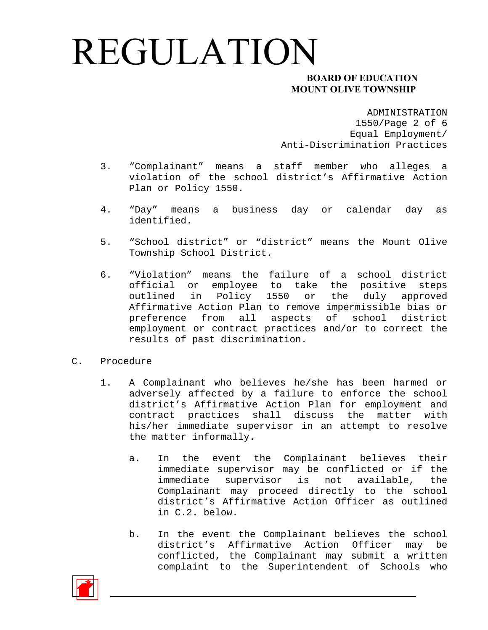### **MOUNT OLIVE TOWNSHIP**

ADMINISTRATION

1550/Page 2 of 6 Equal Employment/ Anti-Discrimination Practices

- 3. "Complainant" means a staff member who alleges a violation of the school district's Affirmative Action Plan or Policy 1550.
- 4. "Day" means a business day or calendar day as identified.
- 5. "School district" or "district" means the Mount Olive Township School District.
- 6. "Violation" means the failure of a school district official or employee to take the positive steps outlined in Policy 1550 or the duly approved Affirmative Action Plan to remove impermissible bias or preference from all aspects of school district employment or contract practices and/or to correct the results of past discrimination.
- C. Procedure
	- 1. A Complainant who believes he/she has been harmed or adversely affected by a failure to enforce the school district's Affirmative Action Plan for employment and contract practices shall discuss the matter with his/her immediate supervisor in an attempt to resolve the matter informally.
		- a. In the event the Complainant believes their immediate supervisor may be conflicted or if the immediate supervisor is not available, the Complainant may proceed directly to the school district's Affirmative Action Officer as outlined in C.2. below.
		- b. In the event the Complainant believes the school district's Affirmative Action Officer may be conflicted, the Complainant may submit a written complaint to the Superintendent of Schools who

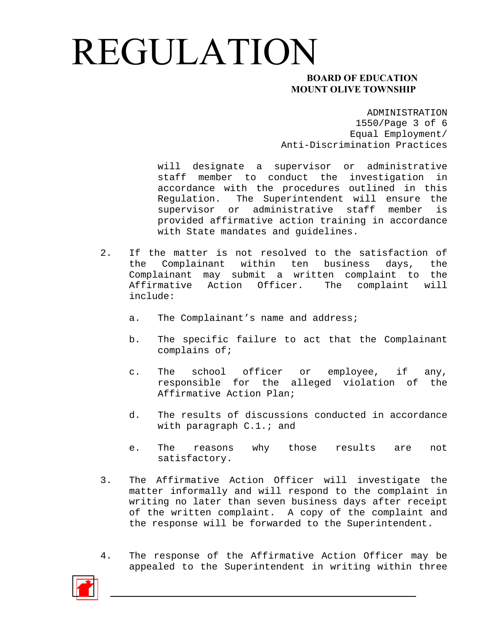### **MOUNT OLIVE TOWNSHIP**

ADMINISTRATION 1550/Page 3 of 6 Equal Employment/ Anti-Discrimination Practices

will designate a supervisor or administrative staff member to conduct the investigation in accordance with the procedures outlined in this Regulation. The Superintendent will ensure the supervisor or administrative staff member is provided affirmative action training in accordance with State mandates and guidelines.

- 2. If the matter is not resolved to the satisfaction of the Complainant within ten business days, the Complainant may submit a written complaint to the Affirmative Action Officer. The complaint will include:
	- a. The Complainant's name and address;
	- b. The specific failure to act that the Complainant complains of;
	- c. The school officer or employee, if any, responsible for the alleged violation of the Affirmative Action Plan;
	- d. The results of discussions conducted in accordance with paragraph C.1.; and
	- e. The reasons why those results are not satisfactory.
- 3. The Affirmative Action Officer will investigate the matter informally and will respond to the complaint in writing no later than seven business days after receipt of the written complaint. A copy of the complaint and the response will be forwarded to the Superintendent.
- 4. The response of the Affirmative Action Officer may be appealed to the Superintendent in writing within three

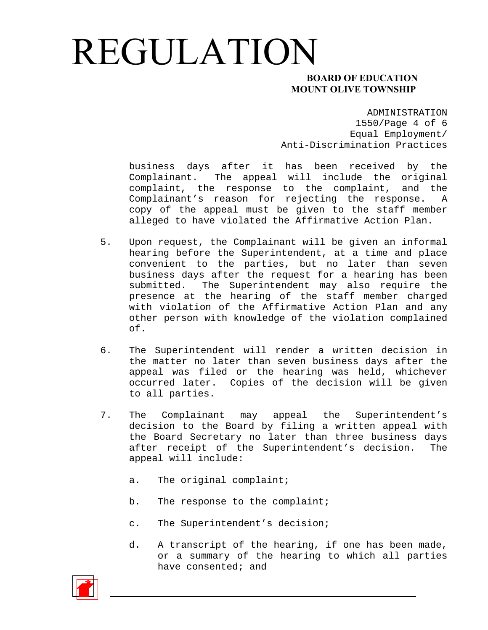### **MOUNT OLIVE TOWNSHIP**

ADMINISTRATION 1550/Page 4 of 6 Equal Employment/ Anti-Discrimination Practices

business days after it has been received by the Complainant. The appeal will include the original complaint, the response to the complaint, and the Complainant's reason for rejecting the response. A copy of the appeal must be given to the staff member alleged to have violated the Affirmative Action Plan.

- 5. Upon request, the Complainant will be given an informal hearing before the Superintendent, at a time and place convenient to the parties, but no later than seven business days after the request for a hearing has been submitted. The Superintendent may also require the presence at the hearing of the staff member charged with violation of the Affirmative Action Plan and any other person with knowledge of the violation complained of.
- 6. The Superintendent will render a written decision in the matter no later than seven business days after the appeal was filed or the hearing was held, whichever occurred later. Copies of the decision will be given to all parties.
- 7. The Complainant may appeal the Superintendent's decision to the Board by filing a written appeal with the Board Secretary no later than three business days after receipt of the Superintendent's decision. The appeal will include:
	- a. The original complaint;
	- b. The response to the complaint;
	- c. The Superintendent's decision;
	- d. A transcript of the hearing, if one has been made, or a summary of the hearing to which all parties have consented; and

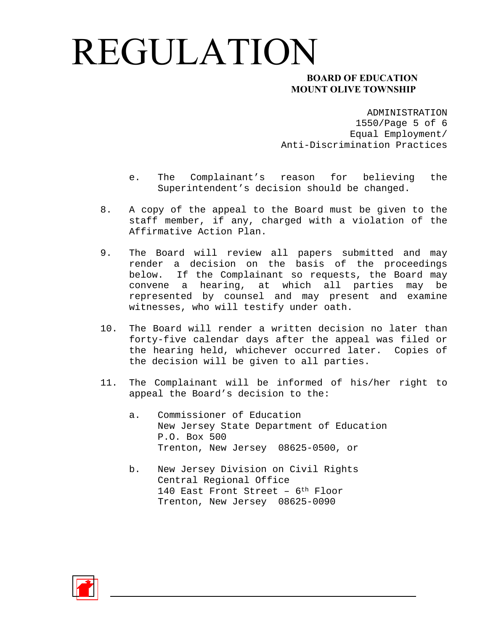### **MOUNT OLIVE TOWNSHIP**

ADMINISTRATION 1550/Page 5 of 6 Equal Employment/ Anti-Discrimination Practices

- e. The Complainant's reason for believing the Superintendent's decision should be changed.
- 8. A copy of the appeal to the Board must be given to the staff member, if any, charged with a violation of the Affirmative Action Plan.
- 9. The Board will review all papers submitted and may render a decision on the basis of the proceedings below. If the Complainant so requests, the Board may convene a hearing, at which all parties may be represented by counsel and may present and examine witnesses, who will testify under oath.
- 10. The Board will render a written decision no later than forty-five calendar days after the appeal was filed or the hearing held, whichever occurred later. Copies of the decision will be given to all parties.
- 11. The Complainant will be informed of his/her right to appeal the Board's decision to the:
	- a. Commissioner of Education New Jersey State Department of Education P.O. Box 500 Trenton, New Jersey 08625-0500, or
	- b. New Jersey Division on Civil Rights Central Regional Office 140 East Front Street – 6th Floor Trenton, New Jersey 08625-0090